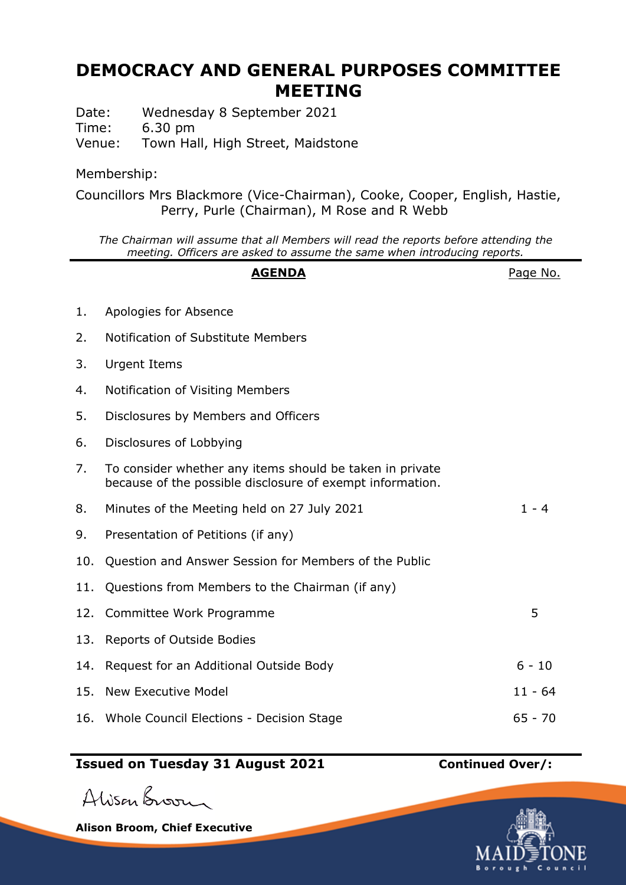## **DEMOCRACY AND GENERAL PURPOSES COMMITTEE MEETING**

Date: Wednesday 8 September 2021 Time: 6.30 pm Venue: Town Hall, High Street, Maidstone

Membership:

Councillors Mrs Blackmore (Vice-Chairman), Cooke, Cooper, English, Hastie, Perry, Purle (Chairman), M Rose and R Webb

*The Chairman will assume that all Members will read the reports before attending the meeting. Officers are asked to assume the same when introducing reports.*

## **AGENDA** Page No. 1. Apologies for Absence 2. Notification of Substitute Members 3. Urgent Items 4. Notification of Visiting Members 5. Disclosures by Members and Officers 6. Disclosures of Lobbying 7. To consider whether any items should be taken in private because of the possible disclosure of exempt information. 8. Minutes of the Meeting held on 27 July 2021 1 - 4 9. Presentation of Petitions (if any) 10. Question and Answer Session for Members of the Public 11. Questions from Members to the Chairman (if any) 12. Committee Work Programme 5 13. Reports of Outside Bodies 14. Request for an Additional Outside Body 6 - 10 15. New Executive Model 11 and 11 - 64 16. Whole Council Elections - Decision Stage 65 - 70

## **Issued on Tuesday 31 August 2021 Continued Over/:**

Alisan Broom

**Alison Broom, Chief Executive**